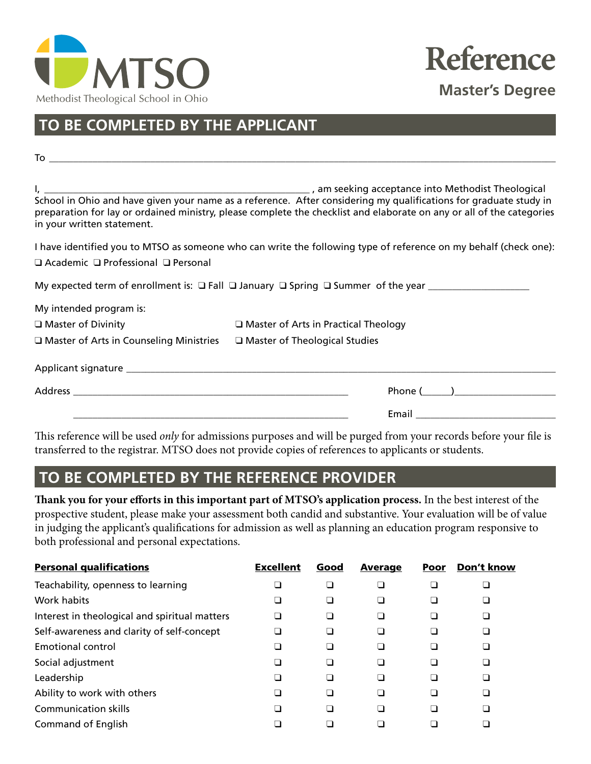



# **TO BE COMPLETED BY THE APPLICANT**

| in your written statement.                                                                                             | preparation for lay or ordained ministry, please complete the checklist and elaborate on any or all of the categories |  |  |
|------------------------------------------------------------------------------------------------------------------------|-----------------------------------------------------------------------------------------------------------------------|--|--|
|                                                                                                                        | I have identified you to MTSO as someone who can write the following type of reference on my behalf (check one):      |  |  |
| $\Box$ Academic $\Box$ Professional $\Box$ Personal                                                                    |                                                                                                                       |  |  |
|                                                                                                                        |                                                                                                                       |  |  |
| My intended program is:                                                                                                |                                                                                                                       |  |  |
| $\Box$ Master of Divinity                                                                                              | $\Box$ Master of Arts in Practical Theology                                                                           |  |  |
| $\square$ Master of Arts in Counseling Ministries $\square$ Master of Theological Studies                              |                                                                                                                       |  |  |
|                                                                                                                        |                                                                                                                       |  |  |
|                                                                                                                        |                                                                                                                       |  |  |
| <u> 1989 - Johann Harry Harry Harry Harry Harry Harry Harry Harry Harry Harry Harry Harry Harry Harry Harry Harry</u>  |                                                                                                                       |  |  |
| المتعاونة والمستحدث والمتحدث والمستحدث والمتعاون والمستحدث والمستحدث والمستحدث والمستحدث والمستحدث والمستحدث والمستحدث |                                                                                                                       |  |  |

This reference will be used *only* for admissions purposes and will be purged from your records before your file is transferred to the registrar. MTSO does not provide copies of references to applicants or students.

### **TO BE COMPLETED BY THE REFERENCE PROVIDER**

**Thank you for your efforts in this important part of MTSO's application process.** In the best interest of the prospective student, please make your assessment both candid and substantive. Your evaluation will be of value in judging the applicant's qualifications for admission as well as planning an education program responsive to both professional and personal expectations.

| <b>Personal qualifications</b>                | <b>Excellent</b> | Good | <b>Average</b> | Poor | Don't know |
|-----------------------------------------------|------------------|------|----------------|------|------------|
| Teachability, openness to learning            |                  |      |                |      |            |
| Work habits                                   |                  |      |                |      |            |
| Interest in theological and spiritual matters |                  |      |                |      |            |
| Self-awareness and clarity of self-concept    |                  |      |                |      |            |
| Emotional control                             |                  |      |                |      |            |
| Social adjustment                             |                  |      |                |      |            |
| Leadership                                    |                  |      |                |      |            |
| Ability to work with others                   |                  |      |                |      |            |
| <b>Communication skills</b>                   |                  |      |                |      |            |
| Command of English                            |                  |      |                |      |            |